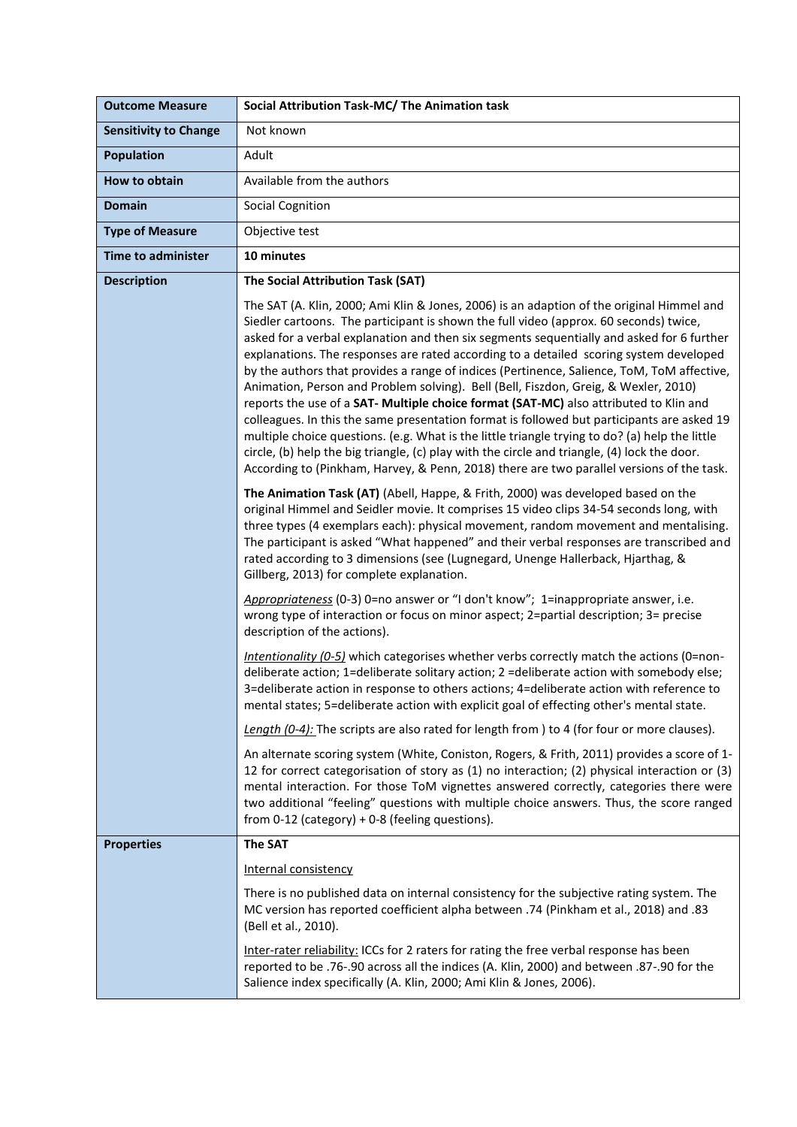| <b>Outcome Measure</b>       | Social Attribution Task-MC/ The Animation task                                                                                                                                                                                                                                                                                                                                                                                                                                                                                                                                                                                                                                                                                                                                                                                                                                                                                                                                                                                                       |
|------------------------------|------------------------------------------------------------------------------------------------------------------------------------------------------------------------------------------------------------------------------------------------------------------------------------------------------------------------------------------------------------------------------------------------------------------------------------------------------------------------------------------------------------------------------------------------------------------------------------------------------------------------------------------------------------------------------------------------------------------------------------------------------------------------------------------------------------------------------------------------------------------------------------------------------------------------------------------------------------------------------------------------------------------------------------------------------|
| <b>Sensitivity to Change</b> | Not known                                                                                                                                                                                                                                                                                                                                                                                                                                                                                                                                                                                                                                                                                                                                                                                                                                                                                                                                                                                                                                            |
| <b>Population</b>            | Adult                                                                                                                                                                                                                                                                                                                                                                                                                                                                                                                                                                                                                                                                                                                                                                                                                                                                                                                                                                                                                                                |
| How to obtain                | Available from the authors                                                                                                                                                                                                                                                                                                                                                                                                                                                                                                                                                                                                                                                                                                                                                                                                                                                                                                                                                                                                                           |
| <b>Domain</b>                | <b>Social Cognition</b>                                                                                                                                                                                                                                                                                                                                                                                                                                                                                                                                                                                                                                                                                                                                                                                                                                                                                                                                                                                                                              |
| <b>Type of Measure</b>       | Objective test                                                                                                                                                                                                                                                                                                                                                                                                                                                                                                                                                                                                                                                                                                                                                                                                                                                                                                                                                                                                                                       |
| <b>Time to administer</b>    | 10 minutes                                                                                                                                                                                                                                                                                                                                                                                                                                                                                                                                                                                                                                                                                                                                                                                                                                                                                                                                                                                                                                           |
| <b>Description</b>           | The Social Attribution Task (SAT)                                                                                                                                                                                                                                                                                                                                                                                                                                                                                                                                                                                                                                                                                                                                                                                                                                                                                                                                                                                                                    |
|                              | The SAT (A. Klin, 2000; Ami Klin & Jones, 2006) is an adaption of the original Himmel and<br>Siedler cartoons. The participant is shown the full video (approx. 60 seconds) twice,<br>asked for a verbal explanation and then six segments sequentially and asked for 6 further<br>explanations. The responses are rated according to a detailed scoring system developed<br>by the authors that provides a range of indices (Pertinence, Salience, ToM, ToM affective,<br>Animation, Person and Problem solving). Bell (Bell, Fiszdon, Greig, & Wexler, 2010)<br>reports the use of a SAT- Multiple choice format (SAT-MC) also attributed to Klin and<br>colleagues. In this the same presentation format is followed but participants are asked 19<br>multiple choice questions. (e.g. What is the little triangle trying to do? (a) help the little<br>circle, (b) help the big triangle, (c) play with the circle and triangle, (4) lock the door.<br>According to (Pinkham, Harvey, & Penn, 2018) there are two parallel versions of the task. |
|                              | The Animation Task (AT) (Abell, Happe, & Frith, 2000) was developed based on the<br>original Himmel and Seidler movie. It comprises 15 video clips 34-54 seconds long, with<br>three types (4 exemplars each): physical movement, random movement and mentalising.<br>The participant is asked "What happened" and their verbal responses are transcribed and<br>rated according to 3 dimensions (see (Lugnegard, Unenge Hallerback, Hjarthag, &<br>Gillberg, 2013) for complete explanation.                                                                                                                                                                                                                                                                                                                                                                                                                                                                                                                                                        |
|                              | Appropriateness (0-3) 0=no answer or "I don't know"; 1=inappropriate answer, i.e.<br>wrong type of interaction or focus on minor aspect; 2=partial description; 3= precise<br>description of the actions).                                                                                                                                                                                                                                                                                                                                                                                                                                                                                                                                                                                                                                                                                                                                                                                                                                           |
|                              | Intentionality (0-5) which categorises whether verbs correctly match the actions (0=non-<br>deliberate action; 1=deliberate solitary action; 2 =deliberate action with somebody else;<br>3=deliberate action in response to others actions; 4=deliberate action with reference to<br>mental states; 5=deliberate action with explicit goal of effecting other's mental state.                                                                                                                                                                                                                                                                                                                                                                                                                                                                                                                                                                                                                                                                        |
|                              | Length (0-4): The scripts are also rated for length from ) to 4 (for four or more clauses).                                                                                                                                                                                                                                                                                                                                                                                                                                                                                                                                                                                                                                                                                                                                                                                                                                                                                                                                                          |
|                              | An alternate scoring system (White, Coniston, Rogers, & Frith, 2011) provides a score of 1-<br>12 for correct categorisation of story as (1) no interaction; (2) physical interaction or (3)<br>mental interaction. For those ToM vignettes answered correctly, categories there were<br>two additional "feeling" questions with multiple choice answers. Thus, the score ranged<br>from 0-12 (category) + 0-8 (feeling questions).                                                                                                                                                                                                                                                                                                                                                                                                                                                                                                                                                                                                                  |
| <b>Properties</b>            | <b>The SAT</b>                                                                                                                                                                                                                                                                                                                                                                                                                                                                                                                                                                                                                                                                                                                                                                                                                                                                                                                                                                                                                                       |
|                              | Internal consistency                                                                                                                                                                                                                                                                                                                                                                                                                                                                                                                                                                                                                                                                                                                                                                                                                                                                                                                                                                                                                                 |
|                              | There is no published data on internal consistency for the subjective rating system. The<br>MC version has reported coefficient alpha between .74 (Pinkham et al., 2018) and .83<br>(Bell et al., 2010).                                                                                                                                                                                                                                                                                                                                                                                                                                                                                                                                                                                                                                                                                                                                                                                                                                             |
|                              | Inter-rater reliability: ICCs for 2 raters for rating the free verbal response has been<br>reported to be .76-.90 across all the indices (A. Klin, 2000) and between .87-.90 for the<br>Salience index specifically (A. Klin, 2000; Ami Klin & Jones, 2006).                                                                                                                                                                                                                                                                                                                                                                                                                                                                                                                                                                                                                                                                                                                                                                                         |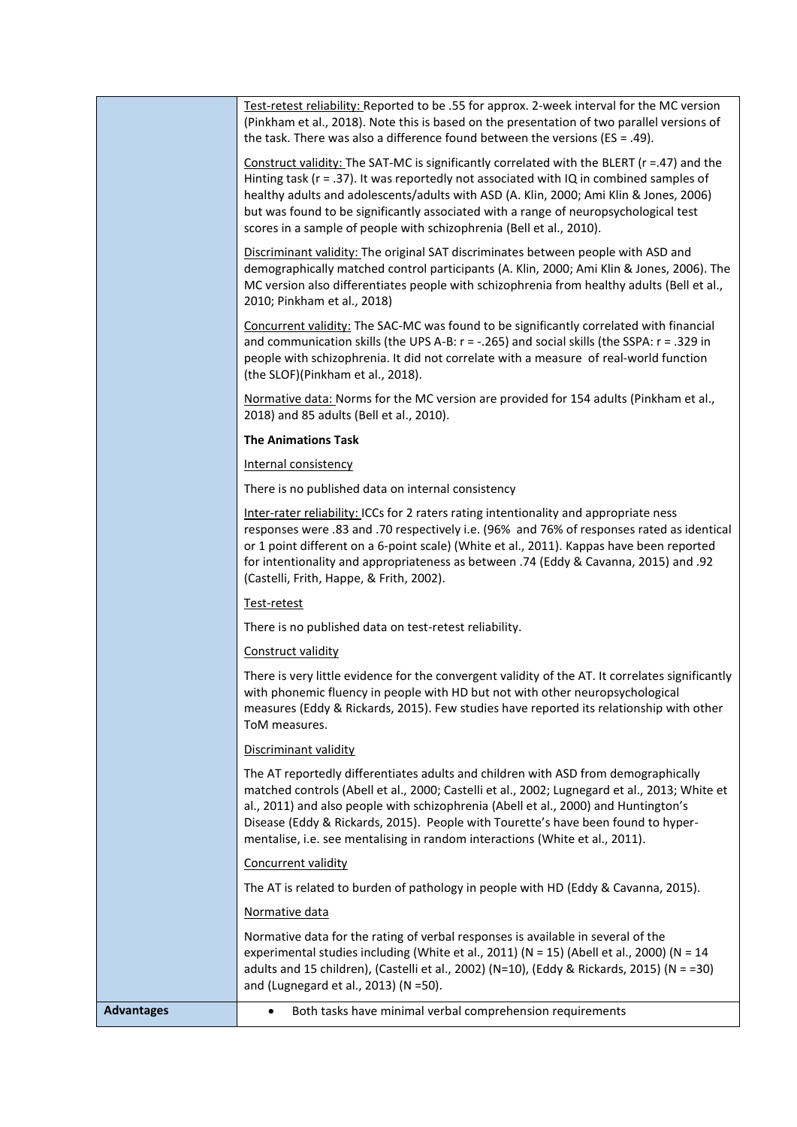|                   | Test-retest reliability: Reported to be .55 for approx. 2-week interval for the MC version<br>(Pinkham et al., 2018). Note this is based on the presentation of two parallel versions of<br>the task. There was also a difference found between the versions (ES = .49).                                                                                                                                                                            |
|-------------------|-----------------------------------------------------------------------------------------------------------------------------------------------------------------------------------------------------------------------------------------------------------------------------------------------------------------------------------------------------------------------------------------------------------------------------------------------------|
|                   | Construct validity: The SAT-MC is significantly correlated with the BLERT (r =.47) and the<br>Hinting task ( $r = .37$ ). It was reportedly not associated with IQ in combined samples of<br>healthy adults and adolescents/adults with ASD (A. Klin, 2000; Ami Klin & Jones, 2006)<br>but was found to be significantly associated with a range of neuropsychological test<br>scores in a sample of people with schizophrenia (Bell et al., 2010). |
|                   | Discriminant validity: The original SAT discriminates between people with ASD and<br>demographically matched control participants (A. Klin, 2000; Ami Klin & Jones, 2006). The<br>MC version also differentiates people with schizophrenia from healthy adults (Bell et al.,<br>2010; Pinkham et al., 2018)                                                                                                                                         |
|                   | Concurrent validity: The SAC-MC was found to be significantly correlated with financial<br>and communication skills (the UPS A-B: $r = -.265$ ) and social skills (the SSPA: $r = .329$ in<br>people with schizophrenia. It did not correlate with a measure of real-world function<br>(the SLOF)(Pinkham et al., 2018).                                                                                                                            |
|                   | Normative data: Norms for the MC version are provided for 154 adults (Pinkham et al.,<br>2018) and 85 adults (Bell et al., 2010).                                                                                                                                                                                                                                                                                                                   |
|                   | <b>The Animations Task</b>                                                                                                                                                                                                                                                                                                                                                                                                                          |
|                   | Internal consistency                                                                                                                                                                                                                                                                                                                                                                                                                                |
|                   | There is no published data on internal consistency                                                                                                                                                                                                                                                                                                                                                                                                  |
|                   | Inter-rater reliability: ICCs for 2 raters rating intentionality and appropriate ness<br>responses were .83 and .70 respectively i.e. (96% and 76% of responses rated as identical<br>or 1 point different on a 6-point scale) (White et al., 2011). Kappas have been reported<br>for intentionality and appropriateness as between .74 (Eddy & Cavanna, 2015) and .92<br>(Castelli, Frith, Happe, & Frith, 2002).                                  |
|                   | Test-retest                                                                                                                                                                                                                                                                                                                                                                                                                                         |
|                   | There is no published data on test-retest reliability.                                                                                                                                                                                                                                                                                                                                                                                              |
|                   | Construct validity                                                                                                                                                                                                                                                                                                                                                                                                                                  |
|                   | There is very little evidence for the convergent validity of the AT. It correlates significantly<br>with phonemic fluency in people with HD but not with other neuropsychological<br>measures (Eddy & Rickards, 2015). Few studies have reported its relationship with other<br>ToM measures.                                                                                                                                                       |
|                   | Discriminant validity                                                                                                                                                                                                                                                                                                                                                                                                                               |
|                   | The AT reportedly differentiates adults and children with ASD from demographically<br>matched controls (Abell et al., 2000; Castelli et al., 2002; Lugnegard et al., 2013; White et<br>al., 2011) and also people with schizophrenia (Abell et al., 2000) and Huntington's<br>Disease (Eddy & Rickards, 2015). People with Tourette's have been found to hyper-<br>mentalise, i.e. see mentalising in random interactions (White et al., 2011).     |
|                   | Concurrent validity                                                                                                                                                                                                                                                                                                                                                                                                                                 |
|                   | The AT is related to burden of pathology in people with HD (Eddy & Cavanna, 2015).                                                                                                                                                                                                                                                                                                                                                                  |
|                   | Normative data                                                                                                                                                                                                                                                                                                                                                                                                                                      |
|                   | Normative data for the rating of verbal responses is available in several of the<br>experimental studies including (White et al., 2011) (N = 15) (Abell et al., 2000) (N = 14<br>adults and 15 children), (Castelli et al., 2002) (N=10), (Eddy & Rickards, 2015) (N = =30)<br>and (Lugnegard et al., 2013) (N =50).                                                                                                                                |
| <b>Advantages</b> | Both tasks have minimal verbal comprehension requirements<br>٠                                                                                                                                                                                                                                                                                                                                                                                      |